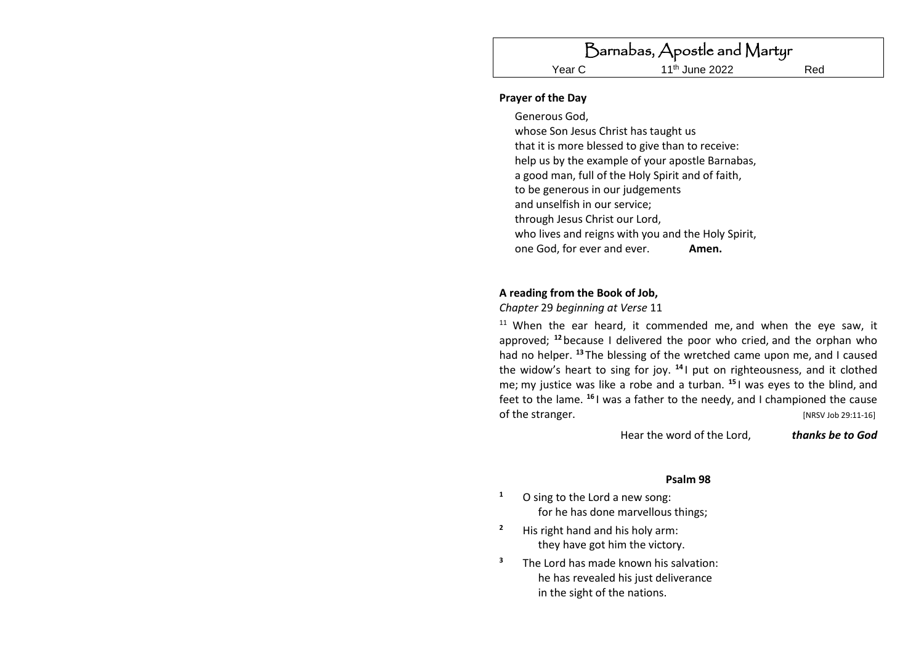#### **Prayer of the Day**

Generous God, whose Son Jesus Christ has taught us that it is more blessed to give than to receive: help us by the example of your apostle Barnabas, a good man, full of the Holy Spirit and of faith, to be generous in our judgements and unselfish in our service; through Jesus Christ our Lord, who lives and reigns with you and the Holy Spirit, one God, for ever and ever. **Amen.**

#### **A reading from the Book of Job,**

*Chapter* 29 *beginning at Verse* 11

 $11$  When the ear heard, it commended me, and when the eye saw, it approved; **<sup>12</sup>** because I delivered the poor who cried, and the orphan who had no helper. **<sup>13</sup>** The blessing of the wretched came upon me, and I caused the widow's heart to sing for joy. **<sup>14</sup>** I put on righteousness, and it clothed me; my justice was like a robe and a turban. **<sup>15</sup>** I was eyes to the blind, and feet to the lame. **<sup>16</sup>** I was a father to the needy, and I championed the cause of the stranger. [NRSV Job 29:11-16]

Hear the word of the Lord, *thanks be to God*

#### **Psalm 98**

- **<sup>1</sup>** O sing to the Lord a new song: for he has done marvellous things;
- **<sup>2</sup>** His right hand and his holy arm: they have got him the victory.
- **<sup>3</sup>** The Lord has made known his salvation: he has revealed his just deliverance in the sight of the nations.